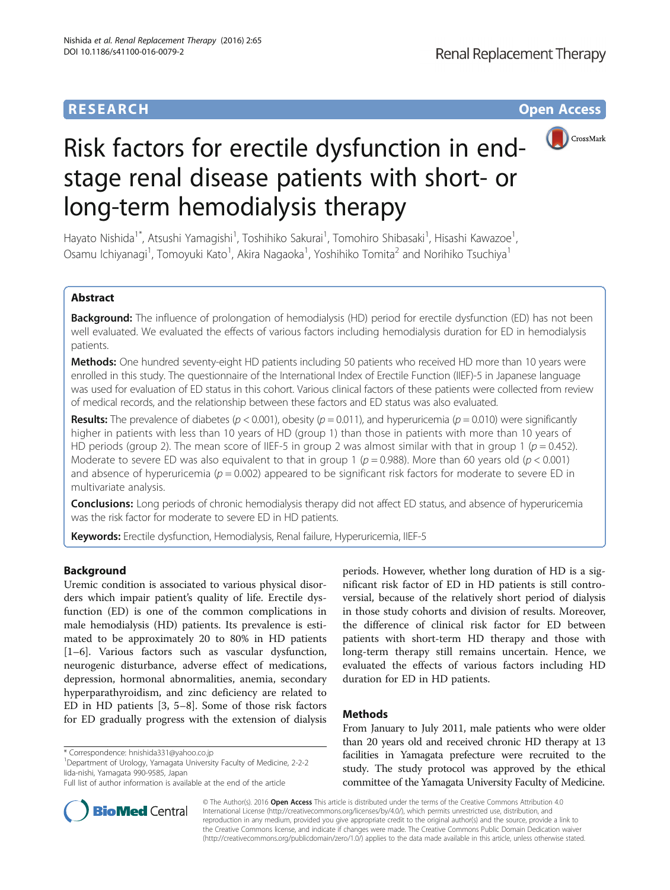# **RESEARCH CHINESE ARCH CHINESE ARCHITECT ARCHITECT ARCHITECT ARCHITECT ARCHITECT ARCHITECT ARCHITECT ARCHITECT ARCHITECT ARCHITECT ARCHITECT ARCHITECT ARCHITECT ARCHITECT ARCHITECT ARCHITECT ARCHITECT ARCHITECT ARCHITE**



# Risk factors for erectile dysfunction in endstage renal disease patients with short- or long-term hemodialysis therapy

Hayato Nishida<sup>1\*</sup>, Atsushi Yamagishi<sup>1</sup>, Toshihiko Sakurai<sup>1</sup>, Tomohiro Shibasaki<sup>1</sup>, Hisashi Kawazoe<sup>1</sup> , Osamu Ichiyanagi<sup>1</sup>, Tomoyuki Kato<sup>1</sup>, Akira Nagaoka<sup>1</sup>, Yoshihiko Tomita<sup>2</sup> and Norihiko Tsuchiya<sup>1</sup>

## Abstract

Background: The influence of prolongation of hemodialysis (HD) period for erectile dysfunction (ED) has not been well evaluated. We evaluated the effects of various factors including hemodialysis duration for ED in hemodialysis patients.

Methods: One hundred seventy-eight HD patients including 50 patients who received HD more than 10 years were enrolled in this study. The questionnaire of the International Index of Erectile Function (IIEF)-5 in Japanese language was used for evaluation of ED status in this cohort. Various clinical factors of these patients were collected from review of medical records, and the relationship between these factors and ED status was also evaluated.

**Results:** The prevalence of diabetes ( $p < 0.001$ ), obesity ( $p = 0.011$ ), and hyperuricemia ( $p = 0.010$ ) were significantly higher in patients with less than 10 years of HD (group 1) than those in patients with more than 10 years of HD periods (group 2). The mean score of IIEF-5 in group 2 was almost similar with that in group 1 ( $p = 0.452$ ). Moderate to severe ED was also equivalent to that in group 1 ( $p = 0.988$ ). More than 60 years old ( $p < 0.001$ ) and absence of hyperuricemia ( $p = 0.002$ ) appeared to be significant risk factors for moderate to severe ED in multivariate analysis.

**Conclusions:** Long periods of chronic hemodialysis therapy did not affect ED status, and absence of hyperuricemia was the risk factor for moderate to severe ED in HD patients.

Keywords: Erectile dysfunction, Hemodialysis, Renal failure, Hyperuricemia, IIEF-5

### Background

Uremic condition is associated to various physical disorders which impair patient's quality of life. Erectile dysfunction (ED) is one of the common complications in male hemodialysis (HD) patients. Its prevalence is estimated to be approximately 20 to 80% in HD patients [[1](#page-4-0)–[6\]](#page-4-0). Various factors such as vascular dysfunction, neurogenic disturbance, adverse effect of medications, depression, hormonal abnormalities, anemia, secondary hyperparathyroidism, and zinc deficiency are related to ED in HD patients [[3](#page-4-0), [5](#page-4-0)–[8](#page-4-0)]. Some of those risk factors for ED gradually progress with the extension of dialysis

\* Correspondence: [hnishida331@yahoo.co.jp](mailto:hnishida331@yahoo.co.jp) <sup>1</sup>

Department of Urology, Yamagata University Faculty of Medicine, 2-2-2 Iida-nishi, Yamagata 990-9585, Japan

periods. However, whether long duration of HD is a significant risk factor of ED in HD patients is still controversial, because of the relatively short period of dialysis in those study cohorts and division of results. Moreover, the difference of clinical risk factor for ED between patients with short-term HD therapy and those with long-term therapy still remains uncertain. Hence, we evaluated the effects of various factors including HD duration for ED in HD patients.

#### Methods

From January to July 2011, male patients who were older than 20 years old and received chronic HD therapy at 13 facilities in Yamagata prefecture were recruited to the study. The study protocol was approved by the ethical committee of the Yamagata University Faculty of Medicine.



© The Author(s). 2016 Open Access This article is distributed under the terms of the Creative Commons Attribution 4.0 International License [\(http://creativecommons.org/licenses/by/4.0/](http://creativecommons.org/licenses/by/4.0/)), which permits unrestricted use, distribution, and reproduction in any medium, provided you give appropriate credit to the original author(s) and the source, provide a link to the Creative Commons license, and indicate if changes were made. The Creative Commons Public Domain Dedication waiver [\(http://creativecommons.org/publicdomain/zero/1.0/](http://creativecommons.org/publicdomain/zero/1.0/)) applies to the data made available in this article, unless otherwise stated.

Full list of author information is available at the end of the article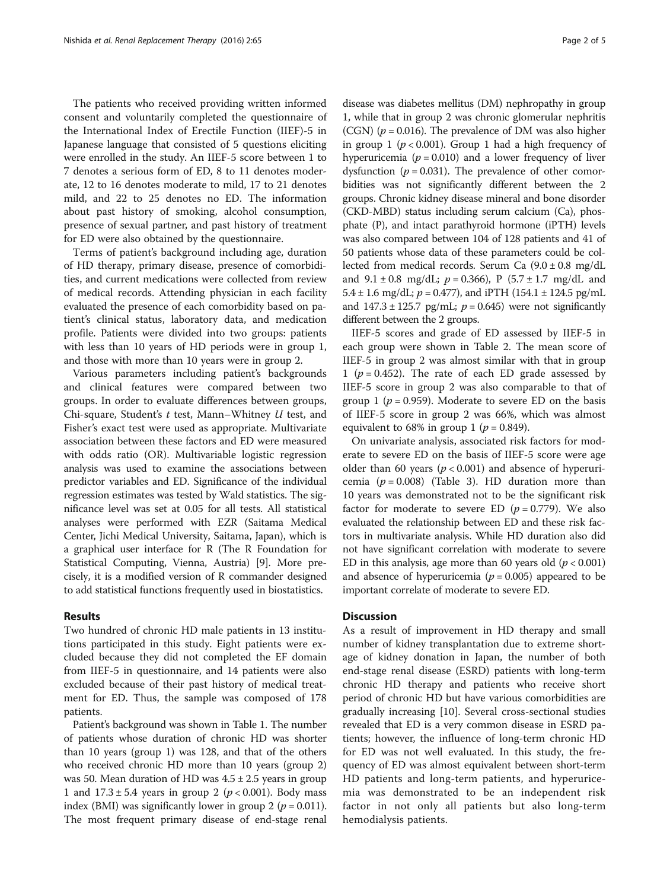The patients who received providing written informed consent and voluntarily completed the questionnaire of the International Index of Erectile Function (IIEF)-5 in Japanese language that consisted of 5 questions eliciting were enrolled in the study. An IIEF-5 score between 1 to 7 denotes a serious form of ED, 8 to 11 denotes moderate, 12 to 16 denotes moderate to mild, 17 to 21 denotes mild, and 22 to 25 denotes no ED. The information about past history of smoking, alcohol consumption, presence of sexual partner, and past history of treatment for ED were also obtained by the questionnaire.

Terms of patient's background including age, duration of HD therapy, primary disease, presence of comorbidities, and current medications were collected from review of medical records. Attending physician in each facility evaluated the presence of each comorbidity based on patient's clinical status, laboratory data, and medication profile. Patients were divided into two groups: patients with less than 10 years of HD periods were in group 1, and those with more than 10 years were in group 2.

Various parameters including patient's backgrounds and clinical features were compared between two groups. In order to evaluate differences between groups, Chi-square, Student's t test, Mann–Whitney U test, and Fisher's exact test were used as appropriate. Multivariate association between these factors and ED were measured with odds ratio (OR). Multivariable logistic regression analysis was used to examine the associations between predictor variables and ED. Significance of the individual regression estimates was tested by Wald statistics. The significance level was set at 0.05 for all tests. All statistical analyses were performed with EZR (Saitama Medical Center, Jichi Medical University, Saitama, Japan), which is a graphical user interface for R (The R Foundation for Statistical Computing, Vienna, Austria) [[9\]](#page-4-0). More precisely, it is a modified version of R commander designed to add statistical functions frequently used in biostatistics.

#### Results

Two hundred of chronic HD male patients in 13 institutions participated in this study. Eight patients were excluded because they did not completed the EF domain from IIEF-5 in questionnaire, and 14 patients were also excluded because of their past history of medical treatment for ED. Thus, the sample was composed of 178 patients.

Patient's background was shown in Table [1.](#page-2-0) The number of patients whose duration of chronic HD was shorter than 10 years (group 1) was 128, and that of the others who received chronic HD more than 10 years (group 2) was 50. Mean duration of HD was  $4.5 \pm 2.5$  years in group 1 and  $17.3 \pm 5.4$  years in group 2 ( $p < 0.001$ ). Body mass index (BMI) was significantly lower in group 2 ( $p = 0.011$ ). The most frequent primary disease of end-stage renal

disease was diabetes mellitus (DM) nephropathy in group 1, while that in group 2 was chronic glomerular nephritis (CGN) ( $p = 0.016$ ). The prevalence of DM was also higher in group 1 ( $p < 0.001$ ). Group 1 had a high frequency of hyperuricemia ( $p = 0.010$ ) and a lower frequency of liver dysfunction ( $p = 0.031$ ). The prevalence of other comorbidities was not significantly different between the 2 groups. Chronic kidney disease mineral and bone disorder (CKD-MBD) status including serum calcium (Ca), phosphate (P), and intact parathyroid hormone (iPTH) levels was also compared between 104 of 128 patients and 41 of 50 patients whose data of these parameters could be collected from medical records. Serum Ca  $(9.0 \pm 0.8 \text{ mg/dL})$ and  $9.1 \pm 0.8$  mg/dL;  $p = 0.366$ ), P (5.7  $\pm$  1.7 mg/dL and 5.4  $\pm$  1.6 mg/dL;  $p = 0.477$ ), and iPTH (154.1  $\pm$  124.5 pg/mL and  $147.3 \pm 125.7$  pg/mL;  $p = 0.645$ ) were not significantly different between the 2 groups.

IIEF-5 scores and grade of ED assessed by IIEF-5 in each group were shown in Table [2](#page-2-0). The mean score of IIEF-5 in group 2 was almost similar with that in group 1 ( $p = 0.452$ ). The rate of each ED grade assessed by IIEF-5 score in group 2 was also comparable to that of group 1 ( $p = 0.959$ ). Moderate to severe ED on the basis of IIEF-5 score in group 2 was 66%, which was almost equivalent to 68% in group 1 ( $p = 0.849$ ).

On univariate analysis, associated risk factors for moderate to severe ED on the basis of IIEF-5 score were age older than 60 years ( $p < 0.001$ ) and absence of hyperuricemia ( $p = 0.008$ ) (Table [3\)](#page-3-0). HD duration more than 10 years was demonstrated not to be the significant risk factor for moderate to severe ED ( $p = 0.779$ ). We also evaluated the relationship between ED and these risk factors in multivariate analysis. While HD duration also did not have significant correlation with moderate to severe ED in this analysis, age more than 60 years old ( $p < 0.001$ ) and absence of hyperuricemia ( $p = 0.005$ ) appeared to be important correlate of moderate to severe ED.

#### **Discussion**

As a result of improvement in HD therapy and small number of kidney transplantation due to extreme shortage of kidney donation in Japan, the number of both end-stage renal disease (ESRD) patients with long-term chronic HD therapy and patients who receive short period of chronic HD but have various comorbidities are gradually increasing [\[10](#page-4-0)]. Several cross-sectional studies revealed that ED is a very common disease in ESRD patients; however, the influence of long-term chronic HD for ED was not well evaluated. In this study, the frequency of ED was almost equivalent between short-term HD patients and long-term patients, and hyperuricemia was demonstrated to be an independent risk factor in not only all patients but also long-term hemodialysis patients.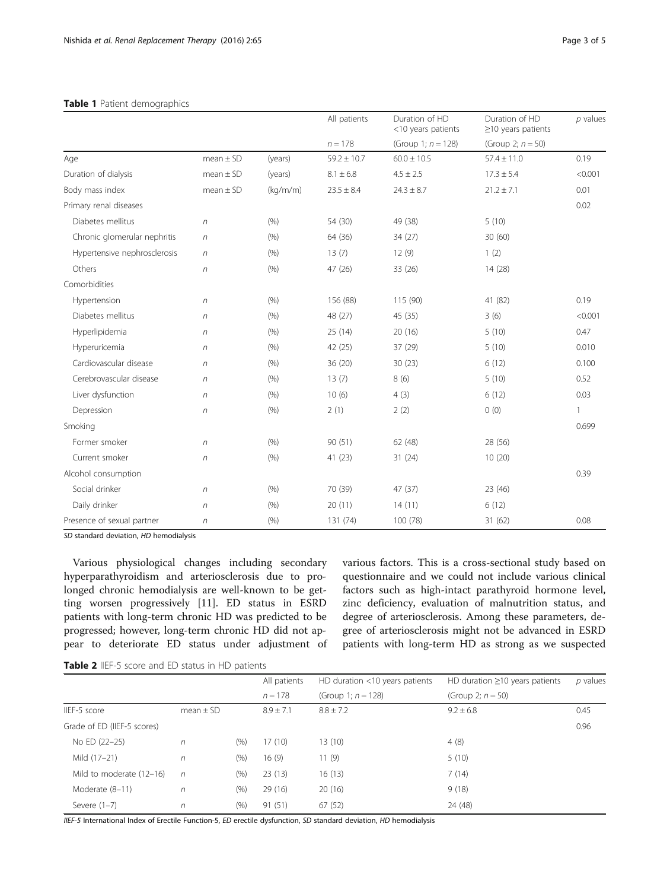|                              |               |          | All patients    | Duration of HD<br><10 years patients | Duration of HD<br>$\geq$ 10 years patients | $p$ values |
|------------------------------|---------------|----------|-----------------|--------------------------------------|--------------------------------------------|------------|
|                              |               |          | $n = 178$       | (Group 1; $n = 128$ )                | (Group 2; $n = 50$ )                       |            |
| Age                          | $mean \pm SD$ | (years)  | $59.2 \pm 10.7$ | $60.0 \pm 10.5$                      | $57.4 \pm 11.0$                            | 0.19       |
| Duration of dialysis         | mean $\pm$ SD | (years)  | $8.1 \pm 6.8$   | $4.5 \pm 2.5$                        | $17.3 \pm 5.4$                             | < 0.001    |
| Body mass index              | mean $\pm$ SD | (kq/m/m) | $23.5 \pm 8.4$  | $24.3 \pm 8.7$                       | $21.2 \pm 7.1$                             | 0.01       |
| Primary renal diseases       |               |          |                 |                                      |                                            | 0.02       |
| Diabetes mellitus            | $\sqrt{n}$    | (% )     | 54 (30)         | 49 (38)                              | 5(10)                                      |            |
| Chronic glomerular nephritis | $\sqrt{n}$    | (% )     | 64 (36)         | 34 (27)                              | 30(60)                                     |            |
| Hypertensive nephrosclerosis | $\eta$        | (% )     | 13(7)           | 12(9)                                | 1(2)                                       |            |
| Others                       | $\sqrt{n}$    | (% )     | 47 (26)         | 33 (26)                              | 14 (28)                                    |            |
| Comorbidities                |               |          |                 |                                      |                                            |            |
| Hypertension                 | $\sqrt{n}$    | (% )     | 156 (88)        | 115 (90)                             | 41 (82)                                    | 0.19       |
| Diabetes mellitus            | $\sqrt{n}$    | (% )     | 48 (27)         | 45 (35)                              | 3(6)                                       | < 0.001    |
| Hyperlipidemia               | $\sqrt{n}$    | (% )     | 25(14)          | 20(16)                               | 5(10)                                      | 0.47       |
| Hyperuricemia                | $\sqrt{n}$    | (% )     | 42 (25)         | 37 (29)                              | 5(10)                                      | 0.010      |
| Cardiovascular disease       | $\sqrt{n}$    | (% )     | 36 (20)         | 30(23)                               | 6(12)                                      | 0.100      |
| Cerebrovascular disease      | $\sqrt{n}$    | (% )     | 13(7)           | 8(6)                                 | 5(10)                                      | 0.52       |
| Liver dysfunction            | $\sqrt{n}$    | (% )     | 10(6)           | 4(3)                                 | 6(12)                                      | 0.03       |
| Depression                   | $\sqrt{n}$    | (% )     | 2(1)            | 2(2)                                 | 0(0)                                       | 1          |
| Smoking                      |               |          |                 |                                      |                                            | 0.699      |
| Former smoker                | $\sqrt{n}$    | (% )     | 90(51)          | 62 (48)                              | 28 (56)                                    |            |
| Current smoker               | $\sqrt{n}$    | (% )     | 41 (23)         | 31(24)                               | 10(20)                                     |            |
| Alcohol consumption          |               |          |                 |                                      |                                            | 0.39       |
| Social drinker               | $\sqrt{n}$    | (% )     | 70 (39)         | 47 (37)                              | 23 (46)                                    |            |
| Daily drinker                | $\sqrt{n}$    | (% )     | 20(11)          | 14(11)                               | 6(12)                                      |            |
| Presence of sexual partner   | $\sqrt{n}$    | (% )     | 131 (74)        | 100 (78)                             | 31 (62)                                    | 0.08       |

#### <span id="page-2-0"></span>Table 1 Patient demographics

SD standard deviation, HD hemodialysis

Various physiological changes including secondary hyperparathyroidism and arteriosclerosis due to prolonged chronic hemodialysis are well-known to be getting worsen progressively [[11\]](#page-4-0). ED status in ESRD patients with long-term chronic HD was predicted to be progressed; however, long-term chronic HD did not appear to deteriorate ED status under adjustment of various factors. This is a cross-sectional study based on questionnaire and we could not include various clinical factors such as high-intact parathyroid hormone level, zinc deficiency, evaluation of malnutrition status, and degree of arteriosclerosis. Among these parameters, degree of arteriosclerosis might not be advanced in ESRD patients with long-term HD as strong as we suspected

|  | Table 2 IIEF-5 score and ED status in HD patients |
|--|---------------------------------------------------|
|--|---------------------------------------------------|

|                             |               |      | All patients  | HD duration <10 years patients | HD duration $\geq$ 10 years patients | $p$ values |
|-----------------------------|---------------|------|---------------|--------------------------------|--------------------------------------|------------|
|                             |               |      | $n = 178$     | (Group 1; $n = 128$ )          | (Group 2; $n = 50$ )                 |            |
| IIEF-5 score                | mean $\pm$ SD |      | $8.9 \pm 7.1$ | $8.8 \pm 7.2$                  | $9.2 \pm 6.8$                        | 0.45       |
| Grade of ED (IIEF-5 scores) |               |      |               |                                |                                      | 0.96       |
| No ED (22-25)               | $\sqrt{n}$    | (% ) | 17(10)        | 13(10)                         | 4(8)                                 |            |
| Mild (17-21)                | $\sqrt{n}$    | (% ) | 16(9)         | 11(9)                          | 5(10)                                |            |
| Mild to moderate (12-16)    | n             | (% ) | 23(13)        | 16(13)                         | 7(14)                                |            |
| Moderate (8-11)             | n             | (% ) | 29(16)        | 20(16)                         | 9(18)                                |            |
| Severe $(1-7)$              | n             | (% ) | 91(51)        | 67(52)                         | 24 (48)                              |            |

IIEF-5 International Index of Erectile Function-5, ED erectile dysfunction, SD standard deviation, HD hemodialysis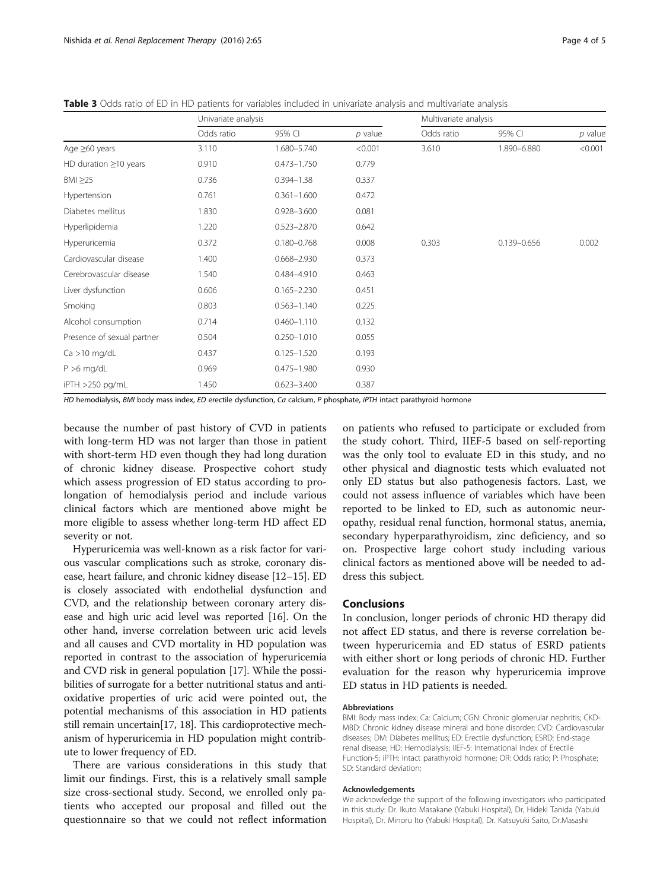<span id="page-3-0"></span>Table 3 Odds ratio of ED in HD patients for variables included in univariate analysis and multivariate analysis

|                             | Univariate analysis |                 |           | Multivariate analysis |                 |           |
|-----------------------------|---------------------|-----------------|-----------|-----------------------|-----------------|-----------|
|                             | Odds ratio          | 95% CI          | $p$ value | Odds ratio            | 95% CI          | $p$ value |
| Age $\geq 60$ years         | 3.110               | 1.680-5.740     | < 0.001   | 3.610                 | 1.890-6.880     | < 0.001   |
| HD duration $\geq$ 10 years | 0.910               | $0.473 - 1.750$ | 0.779     |                       |                 |           |
| $BMI \geq 25$               | 0.736               | $0.394 - 1.38$  | 0.337     |                       |                 |           |
| Hypertension                | 0.761               | $0.361 - 1.600$ | 0.472     |                       |                 |           |
| Diabetes mellitus           | 1.830               | $0.928 - 3.600$ | 0.081     |                       |                 |           |
| Hyperlipidemia              | 1.220               | $0.523 - 2.870$ | 0.642     |                       |                 |           |
| Hyperuricemia               | 0.372               | $0.180 - 0.768$ | 0.008     | 0.303                 | $0.139 - 0.656$ | 0.002     |
| Cardiovascular disease      | 1.400               | $0.668 - 2.930$ | 0.373     |                       |                 |           |
| Cerebrovascular disease     | 1.540               | 0.484-4.910     | 0.463     |                       |                 |           |
| Liver dysfunction           | 0.606               | $0.165 - 2.230$ | 0.451     |                       |                 |           |
| Smoking                     | 0.803               | $0.563 - 1.140$ | 0.225     |                       |                 |           |
| Alcohol consumption         | 0.714               | $0.460 - 1.110$ | 0.132     |                       |                 |           |
| Presence of sexual partner  | 0.504               | $0.250 - 1.010$ | 0.055     |                       |                 |           |
| $Ca > 10$ mg/dL             | 0.437               | $0.125 - 1.520$ | 0.193     |                       |                 |           |
| $P > 6$ mg/dL               | 0.969               | $0.475 - 1.980$ | 0.930     |                       |                 |           |
| $i$ PTH $>$ 250 pg/mL       | 1.450               | $0.623 - 3.400$ | 0.387     |                       |                 |           |

HD hemodialysis, BMI body mass index, ED erectile dysfunction, Ca calcium, P phosphate, iPTH intact parathyroid hormone

because the number of past history of CVD in patients with long-term HD was not larger than those in patient with short-term HD even though they had long duration of chronic kidney disease. Prospective cohort study which assess progression of ED status according to prolongation of hemodialysis period and include various clinical factors which are mentioned above might be more eligible to assess whether long-term HD affect ED severity or not.

Hyperuricemia was well-known as a risk factor for various vascular complications such as stroke, coronary disease, heart failure, and chronic kidney disease [[12](#page-4-0)–[15](#page-4-0)]. ED is closely associated with endothelial dysfunction and CVD, and the relationship between coronary artery disease and high uric acid level was reported [[16](#page-4-0)]. On the other hand, inverse correlation between uric acid levels and all causes and CVD mortality in HD population was reported in contrast to the association of hyperuricemia and CVD risk in general population [[17](#page-4-0)]. While the possibilities of surrogate for a better nutritional status and antioxidative properties of uric acid were pointed out, the potential mechanisms of this association in HD patients still remain uncertain[\[17, 18](#page-4-0)]. This cardioprotective mechanism of hyperuricemia in HD population might contribute to lower frequency of ED.

There are various considerations in this study that limit our findings. First, this is a relatively small sample size cross-sectional study. Second, we enrolled only patients who accepted our proposal and filled out the questionnaire so that we could not reflect information on patients who refused to participate or excluded from the study cohort. Third, IIEF-5 based on self-reporting was the only tool to evaluate ED in this study, and no other physical and diagnostic tests which evaluated not only ED status but also pathogenesis factors. Last, we could not assess influence of variables which have been reported to be linked to ED, such as autonomic neuropathy, residual renal function, hormonal status, anemia, secondary hyperparathyroidism, zinc deficiency, and so on. Prospective large cohort study including various clinical factors as mentioned above will be needed to address this subject.

#### Conclusions

In conclusion, longer periods of chronic HD therapy did not affect ED status, and there is reverse correlation between hyperuricemia and ED status of ESRD patients with either short or long periods of chronic HD. Further evaluation for the reason why hyperuricemia improve ED status in HD patients is needed.

#### Abbreviations

BMI: Body mass index; Ca: Calcium; CGN: Chronic glomerular nephritis; CKD-MBD: Chronic kidney disease mineral and bone disorder; CVD: Cardiovascular diseases; DM: Diabetes mellitus; ED: Erectile dysfunction; ESRD: End-stage renal disease; HD: Hemodialysis; IIEF-5: International Index of Erectile Function-5; iPTH: Intact parathyroid hormone; OR: Odds ratio; P: Phosphate; SD: Standard deviation;

#### Acknowledgements

We acknowledge the support of the following investigators who participated in this study: Dr. Ikuto Masakane (Yabuki Hospital), Dr, Hideki Tanida (Yabuki Hospital), Dr. Minoru Ito (Yabuki Hospital), Dr. Katsuyuki Saito, Dr.Masashi